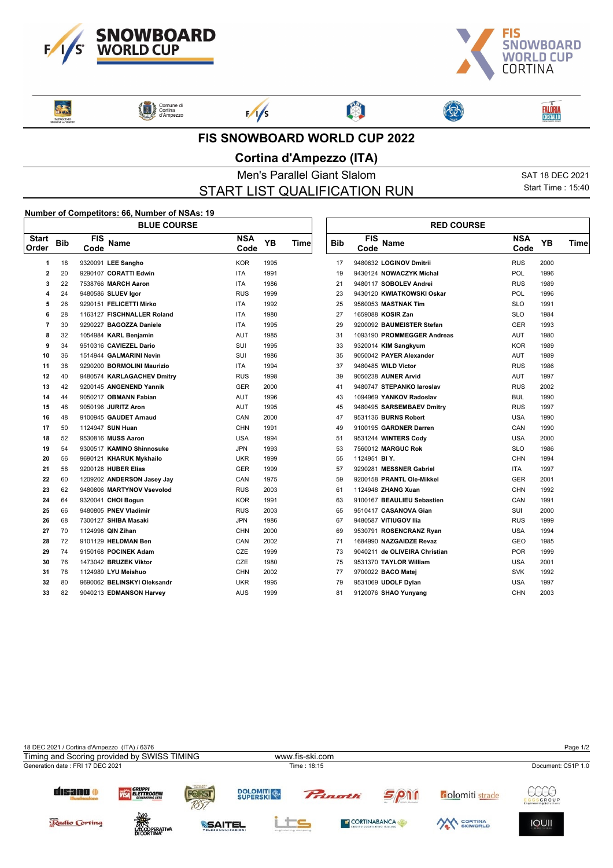



Rose **EATROCINIO**  Comune di

 $F/1/s$ 

## **FIS SNOWBOARD WORLD CUP 2022**

图

## **Cortina d'Ampezzo (ITA)**

Men's Parallel Giant Slalom SAT 18 DEC 2021 START LIST QUALIFICATION RUN

 $\sqrt{ }$ 

Start Time : 15:40

**FALÔRIA**<br>CRISTALLO

## **Number of Competitors: 66, Number of NSAs: 19**

|                       | <b>BLUE COURSE</b> |                    |                             |                    |           |      |  |            | <b>RED COURSE</b>  |                               |                    |           |  |  |
|-----------------------|--------------------|--------------------|-----------------------------|--------------------|-----------|------|--|------------|--------------------|-------------------------------|--------------------|-----------|--|--|
| <b>Start</b><br>Order | <b>Bib</b>         | <b>FIS</b><br>Code | Name                        | <b>NSA</b><br>Code | <b>YB</b> | Time |  | <b>Bib</b> | <b>FIS</b><br>Code | Name                          | <b>NSA</b><br>Code | <b>YB</b> |  |  |
| 1                     | 18                 |                    | 9320091 LEE Sangho          | <b>KOR</b>         | 1995      |      |  | 17         |                    | 9480632 LOGINOV Dmitrii       | <b>RUS</b>         | 2000      |  |  |
| $\mathbf{2}$          | 20                 |                    | 9290107 CORATTI Edwin       | <b>ITA</b>         | 1991      |      |  | 19         |                    | 9430124 NOWACZYK Michal       | POL                | 1996      |  |  |
| 3                     | 22                 |                    | 7538766 MARCH Aaron         | <b>ITA</b>         | 1986      |      |  | 21         |                    | 9480117 SOBOLEV Andrei        | <b>RUS</b>         | 1989      |  |  |
| 4                     | 24                 |                    | 9480586 SLUEV Igor          | <b>RUS</b>         | 1999      |      |  | 23         |                    | 9430120 KWIATKOWSKI Oskar     | POL                | 1996      |  |  |
| 5                     | 26                 |                    | 9290151 FELICETTI Mirko     | <b>ITA</b>         | 1992      |      |  | 25         |                    | 9560053 MASTNAK Tim           | <b>SLO</b>         | 1991      |  |  |
| 6                     | 28                 |                    | 1163127 FISCHNALLER Roland  | <b>ITA</b>         | 1980      |      |  | 27         |                    | 1659088 KOSIR Zan             | <b>SLO</b>         | 1984      |  |  |
| $\overline{7}$        | 30                 |                    | 9290227 BAGOZZA Daniele     | ITA                | 1995      |      |  | 29         |                    | 9200092 BAUMEISTER Stefan     | <b>GER</b>         | 1993      |  |  |
| 8                     | 32                 |                    | 1054984 KARL Benjamin       | AUT                | 1985      |      |  | 31         |                    | 1093190 PROMMEGGER Andreas    | <b>AUT</b>         | 1980      |  |  |
| 9                     | 34                 |                    | 9510316 CAVIEZEL Dario      | SUI                | 1995      |      |  | 33         |                    | 9320014 KIM Sangkyum          | <b>KOR</b>         | 1989      |  |  |
| 10                    | 36                 |                    | 1514944 GALMARINI Nevin     | SUI                | 1986      |      |  | 35         |                    | 9050042 PAYER Alexander       | <b>AUT</b>         | 1989      |  |  |
| 11                    | 38                 |                    | 9290200 BORMOLINI Maurizio  | <b>ITA</b>         | 1994      |      |  | 37         |                    | 9480485 WILD Victor           | <b>RUS</b>         | 1986      |  |  |
| 12                    | 40                 |                    | 9480574 KARLAGACHEV Dmitry  | <b>RUS</b>         | 1998      |      |  | 39         |                    | 9050238 AUNER Arvid           | <b>AUT</b>         | 1997      |  |  |
| 13                    | 42                 |                    | 9200145 ANGENEND Yannik     | <b>GER</b>         | 2000      |      |  | 41         |                    | 9480747 STEPANKO laroslav     | <b>RUS</b>         | 2002      |  |  |
| 14                    | 44                 |                    | 9050217 OBMANN Fabian       | AUT                | 1996      |      |  | 43         |                    | 1094969 YANKOV Radoslav       | <b>BUL</b>         | 1990      |  |  |
| 15                    | 46                 |                    | 9050196 JURITZ Aron         | AUT                | 1995      |      |  | 45         |                    | 9480495 SARSEMBAEV Dmitry     | <b>RUS</b>         | 1997      |  |  |
| 16                    | 48                 |                    | 9100945 GAUDET Arnaud       | CAN                | 2000      |      |  | 47         |                    | 9531136 BURNS Robert          | <b>USA</b>         | 1990      |  |  |
| 17                    | 50                 |                    | 1124947 SUN Huan            | <b>CHN</b>         | 1991      |      |  | 49         |                    | 9100195 GARDNER Darren        | CAN                | 1990      |  |  |
| 18                    | 52                 |                    | 9530816 MUSS Aaron          | <b>USA</b>         | 1994      |      |  | 51         |                    | 9531244 WINTERS Cody          | <b>USA</b>         | 2000      |  |  |
| 19                    | 54                 |                    | 9300517 KAMINO Shinnosuke   | <b>JPN</b>         | 1993      |      |  | 53         |                    | 7560012 MARGUC Rok            | <b>SLO</b>         | 1986      |  |  |
| 20                    | 56                 |                    | 9690121 KHARUK Mykhailo     | <b>UKR</b>         | 1999      |      |  | 55         | 1124951 BIY.       |                               | CHN                | 1994      |  |  |
| 21                    | 58                 |                    | 9200128 HUBER Elias         | <b>GER</b>         | 1999      |      |  | 57         |                    | 9290281 MESSNER Gabriel       | <b>ITA</b>         | 1997      |  |  |
| 22                    | 60                 |                    | 1209202 ANDERSON Jasey Jay  | CAN                | 1975      |      |  | 59         |                    | 9200158 PRANTL Ole-Mikkel     | <b>GER</b>         | 2001      |  |  |
| 23                    | 62                 |                    | 9480806 MARTYNOV Vsevolod   | <b>RUS</b>         | 2003      |      |  | 61         |                    | 1124948 ZHANG Xuan            | <b>CHN</b>         | 1992      |  |  |
| 24                    | 64                 |                    | 9320041 CHOI Bogun          | <b>KOR</b>         | 1991      |      |  | 63         |                    | 9100167 BEAULIEU Sebastien    | CAN                | 1991      |  |  |
| 25                    | 66                 |                    | 9480805 PNEV Vladimir       | <b>RUS</b>         | 2003      |      |  | 65         |                    | 9510417 CASANOVA Gian         | SUI                | 2000      |  |  |
| 26                    | 68                 |                    | 7300127 SHIBA Masaki        | <b>JPN</b>         | 1986      |      |  | 67         |                    | 9480587 VITIUGOV Ilia         | <b>RUS</b>         | 1999      |  |  |
| 27                    | 70                 |                    | 1124998 QIN Zihan           | <b>CHN</b>         | 2000      |      |  | 69         |                    | 9530791 ROSENCRANZ Ryan       | <b>USA</b>         | 1994      |  |  |
| 28                    | 72                 |                    | 9101129 HELDMAN Ben         | CAN                | 2002      |      |  | 71         |                    | 1684990 NAZGAIDZE Revaz       | <b>GEO</b>         | 1985      |  |  |
| 29                    | 74                 |                    | 9150168 POCINEK Adam        | CZE                | 1999      |      |  | 73         |                    | 9040211 de OLIVEIRA Christian | <b>POR</b>         | 1999      |  |  |
| 30                    | 76                 |                    | 1473042 BRUZEK Viktor       | <b>CZE</b>         | 1980      |      |  | 75         |                    | 9531370 TAYLOR William        | <b>USA</b>         | 2001      |  |  |
| 31                    | 78                 |                    | 1124989 LYU Meishuo         | <b>CHN</b>         | 2002      |      |  | 77         |                    | 9700022 BACO Matej            | <b>SVK</b>         | 1992      |  |  |
| 32                    | 80                 |                    | 9690062 BELINSKYI Oleksandr | <b>UKR</b>         | 1995      |      |  | 79         |                    | 9531069 UDOLF Dylan           | <b>USA</b>         | 1997      |  |  |
| 33                    | 82                 |                    | 9040213 EDMANSON Harvey     | <b>AUS</b>         | 1999      |      |  | 81         |                    | 9120076 SHAO Yunyang          | <b>CHN</b>         | 2003      |  |  |
|                       |                    |                    |                             |                    |           |      |  |            |                    |                               |                    |           |  |  |

|      |       | <b>RED COURSE</b> |                    |                               |                    |      |      |  |  |  |
|------|-------|-------------------|--------------------|-------------------------------|--------------------|------|------|--|--|--|
| YΒ   | Time∣ | <b>Bib</b>        | <b>FIS</b><br>Code | <b>Name</b>                   | <b>NSA</b><br>Code | YB.  | Time |  |  |  |
| 1995 |       | 17                |                    | 9480632 LOGINOV Dmitrii       | <b>RUS</b>         | 2000 |      |  |  |  |
| 1991 |       | 19                |                    | 9430124 NOWACZYK Michal       | <b>POL</b>         | 1996 |      |  |  |  |
| 1986 |       | 21                |                    | 9480117 SOBOLEV Andrei        | <b>RUS</b>         | 1989 |      |  |  |  |
| 1999 |       | 23                |                    | 9430120 KWIATKOWSKI Oskar     | POL                | 1996 |      |  |  |  |
| 1992 |       | 25                |                    | 9560053 MASTNAK Tim           | <b>SLO</b>         | 1991 |      |  |  |  |
| 1980 |       | 27                |                    | 1659088 KOSIR Zan             | <b>SLO</b>         | 1984 |      |  |  |  |
| 1995 |       | 29                |                    | 9200092 BAUMEISTER Stefan     | <b>GER</b>         | 1993 |      |  |  |  |
| 1985 |       | 31                |                    | 1093190 PROMMEGGER Andreas    | <b>AUT</b>         | 1980 |      |  |  |  |
| 1995 |       | 33                |                    | 9320014 KIM Sangkyum          | <b>KOR</b>         | 1989 |      |  |  |  |
| 1986 |       | 35                |                    | 9050042 PAYER Alexander       | <b>AUT</b>         | 1989 |      |  |  |  |
| 1994 |       | 37                |                    | 9480485 WILD Victor           | <b>RUS</b>         | 1986 |      |  |  |  |
| 1998 |       | 39                |                    | 9050238 AUNER Arvid           | <b>AUT</b>         | 1997 |      |  |  |  |
| 2000 |       | 41                |                    | 9480747 STEPANKO laroslav     | <b>RUS</b>         | 2002 |      |  |  |  |
| 1996 |       | 43                |                    | 1094969 YANKOV Radoslav       | <b>BUL</b>         | 1990 |      |  |  |  |
| 1995 |       | 45                |                    | 9480495 SARSEMBAEV Dmitry     | <b>RUS</b>         | 1997 |      |  |  |  |
| 2000 |       | 47                |                    | 9531136 BURNS Robert          | <b>USA</b>         | 1990 |      |  |  |  |
| 1991 |       | 49                |                    | 9100195 GARDNER Darren        | CAN                | 1990 |      |  |  |  |
| 1994 |       | 51                |                    | 9531244 WINTERS Cody          | <b>USA</b>         | 2000 |      |  |  |  |
| 1993 |       | 53                |                    | 7560012 MARGUC Rok            | <b>SLO</b>         | 1986 |      |  |  |  |
| 1999 |       | 55                | 1124951 BIY.       |                               | <b>CHN</b>         | 1994 |      |  |  |  |
| 1999 |       | 57                |                    | 9290281 MESSNER Gabriel       | <b>ITA</b>         | 1997 |      |  |  |  |
| 1975 |       | 59                |                    | 9200158 PRANTL Ole Mikkel     | <b>GER</b>         | 2001 |      |  |  |  |
| 2003 |       | 61                |                    | 1124948 ZHANG Xuan            | <b>CHN</b>         | 1992 |      |  |  |  |
| 1991 |       | 63                |                    | 9100167 BEAULIEU Sebastien    | CAN                | 1991 |      |  |  |  |
| 2003 |       | 65                |                    | 9510417 CASANOVA Gian         | SUI                | 2000 |      |  |  |  |
| 1986 |       | 67                |                    | 9480587 VITIUGOV IIIa         | <b>RUS</b>         | 1999 |      |  |  |  |
| 2000 |       | 69                |                    | 9530791 ROSENCRANZ Ryan       | <b>USA</b>         | 1994 |      |  |  |  |
| 2002 |       | 71                |                    | 1684990 NAZGAIDZE Revaz       | <b>GEO</b>         | 1985 |      |  |  |  |
| 1999 |       | 73                |                    | 9040211 de OLIVEIRA Christian | <b>POR</b>         | 1999 |      |  |  |  |
| 1980 |       | 75                |                    | 9531370 TAYLOR William        | <b>USA</b>         | 2001 |      |  |  |  |
| 2002 |       | 77                |                    | 9700022 BACO Matej            | <b>SVK</b>         | 1992 |      |  |  |  |
| 1995 |       | 79                |                    | 9531069 UDOLF Dylan           | <b>USA</b>         | 1997 |      |  |  |  |
| 1999 |       | 81                |                    | 9120076 SHAO Yunvang          | <b>CHN</b>         | 2003 |      |  |  |  |

3